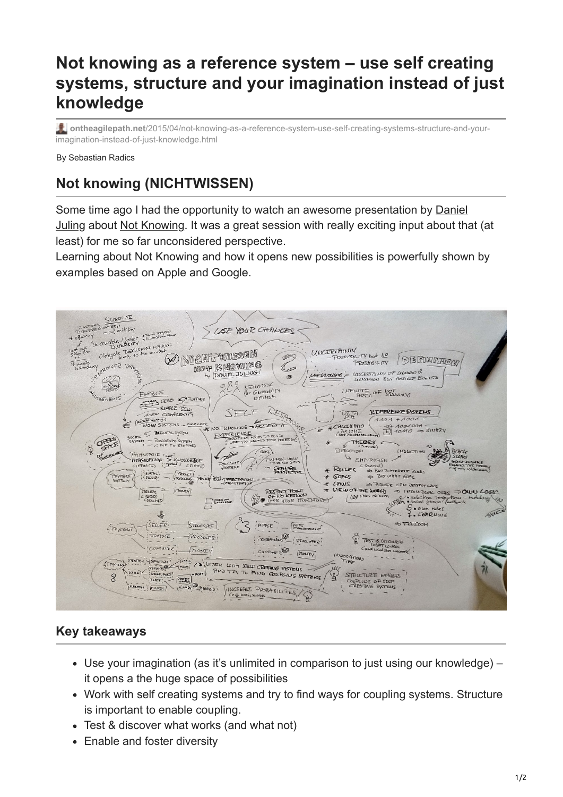## **Not knowing as a reference system – use self creating systems, structure and your imagination instead of just knowledge**

**ontheagilepath.net**[/2015/04/not-knowing-as-a-reference-system-use-self-creating-systems-structure-and-your](https://www.ontheagilepath.net/2015/04/not-knowing-as-a-reference-system-use-self-creating-systems-structure-and-your-imagination-instead-of-just-knowledge.html)imagination-instead-of-just-knowledge.html

By Sebastian Radics

## **Not knowing (NICHTWISSEN)**

[Some time ago I had the opportunity to watch an awesome presentation by Daniel](https://www.xing.com/profile/Daniel_Juling2) Juling about [Not Knowing](http://nichtwissen.com/). It was a great session with really exciting input about that (at least) for me so far unconsidered perspective.

Learning about Not Knowing and how it opens new possibilities is powerfully shown by examples based on Apple and Google.

SURVIVE  $\frac{1}{|A|}$ ISF YOUR CHIANGES TED<br>and floater timesochouts<br>and floater timesochouts<br>DUTERSITY **ULICERTAINTY**  $de$ <sub> $e$ </sub> $e$ <sub> $e$ </sub> $\frac{DE}{2}$ NICHT WISSEN POSSIBILITY but <u>NO</u> any DEENVITTOW NOT KNOWING POMEARILITY  $-221$ 6 NO LADOUNE = LINCERTAINTY OF LUDOWN 8 by DAVIEL JULING  $\circledcirc$ NEWORK  $80$ **IDENCACION TWORK**<br>GHALLATTY<br>OPTIMUM INFINITE OF NOT ENABLE ENABLE<br>COMPLESO CATIONNER  $\overline{u}$   $\overline{F}$   $\overline{v}$   $\overline{F}$  $SIPPLE$ RESP REFERENCE SYSTEMS SELF  $\widehat{D_{\text{C}}^{\text{AT}}P}$ NEW CONTREXTY  $1101 + 1001$ KNOWING - FOCED T E EMERGENS CONTRACTED ... OWN ORIGILATIO  $\begin{array}{c}\n\hline\n\text{-a)} & \text{A00A00A} \\
\hline\n\text{b} & \text{10M0} \end{array}$  $\Rightarrow$   $\overline{B}$ <sub>1</sub>  $\Rightarrow$   $\overline{B}$ <sub>1</sub> E MENTAL SYSTEM  $AXIOHE$ EXPERIENCE  $\sqrt{}$ THEORY  $-$  BIOLOGICAL SYSTEM RÆ DUCTION  $\mu_{\text{M}}$ PHANTASIE **COLE ROOM** wor KNOWEDGE US EMPIRICISM FUNNEL UNEW FOCUSON Special)<br>=> BUT DIFFERENT RUCES<br>=> BUT WAAT GOAC CHANGE RULES  $[ProveC]$ **CIENTAL PAYMENT** GOACS ELS. BREECTARTION  $L$  Process  $L$  Process  $L$  Process  $L$  Process  $L$  Process  $L$  Process  $L$  Process  $L$  Process  $L$ POURD CAN TRADE **EXECUTIONS** MONEY I DOIVIDUAL OLES DOWN LOGIC selective pene  $\Box$ 57. Soon rules 4 SELLER! PEEDOH  $5$ TRUCTURF  $'$ APPLE  $-\sqrt{\frac{\text{app}}{\text{Evol}}\text{Evol}}$ **SPAVAENT** PRODUCE PRODUCED!  $\overline{P}$  $0.210277251$  $\overrightarrow{DEUE}$  $C$ ONSUMER Inouty  $C<sub>0</sub>$ CUSTOME ROO [NOWEY **INDOCTION** FINE AND TRY TO FIND COUPLING S  $\sqrt{\frac{1}{2}}$ PAYMENT KLICK | SERBICKE | MAYS COUPLING SYSTEMS STRUCTURE ENARGES 肾  $\mathcal{R}$ COUPLING OF SECT TIMP BY THADROLD (NCREASE PROBABILITIES) HEUTRE - FRONEY

## **Key takeaways**

- Use your imagination (as it's unlimited in comparison to just using our knowledge) it opens a the huge space of possibilities
- Work with self creating systems and try to find ways for coupling systems. Structure is important to enable coupling.
- Test & discover what works (and what not)
- Enable and foster diversity